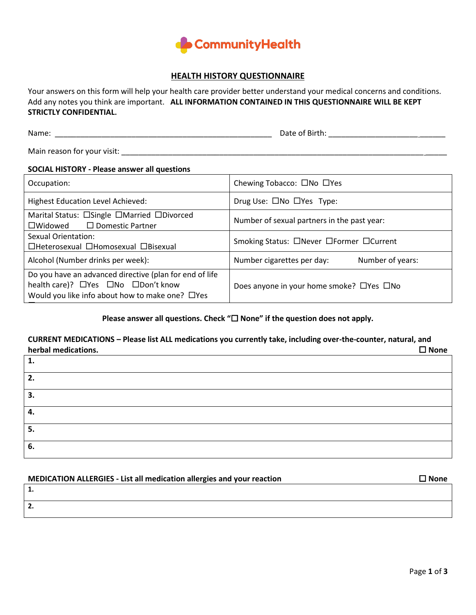

# **HEALTH HISTORY QUESTIONNAIRE**

Your answers on this form will help your health care provider better understand your medical concerns and conditions. Add any notes you think are important. **ALL INFORMATION CONTAINED IN THIS QUESTIONNAIRE WILL BE KEPT STRICTLY CONFIDENTIAL.**

Name: \_\_\_\_\_\_\_\_\_\_\_\_\_\_\_\_\_\_\_\_\_\_\_\_\_\_\_\_\_\_\_\_\_\_\_\_\_\_\_\_\_\_\_\_\_\_\_\_\_\_\_ Date of Birth: \_\_\_\_\_\_\_\_\_\_\_\_\_\_\_\_\_\_\_\_\_ \_\_\_\_\_\_

Main reason for your visit: \_\_\_\_\_\_\_\_\_\_\_\_\_\_\_\_\_\_\_\_\_\_\_\_\_\_\_\_\_\_\_\_\_\_\_\_\_\_\_\_\_\_\_\_\_\_\_\_\_\_\_\_\_\_\_\_\_\_\_\_\_\_\_\_\_\_\_\_\_\_\_ \_\_\_\_\_

## **SOCIAL HISTORY - Please answer all questions**

| Occupation:                                                                                                                                            | Chewing Tobacco: □No □Yes                            |  |  |  |
|--------------------------------------------------------------------------------------------------------------------------------------------------------|------------------------------------------------------|--|--|--|
| <b>Highest Education Level Achieved:</b>                                                                                                               | Drug Use: $\square$ No $\square$ Yes Type:           |  |  |  |
| Marital Status: □Single □Married □Divorced<br>$\Box$ Widowed<br>$\Box$ Domestic Partner                                                                | Number of sexual partners in the past year:          |  |  |  |
| Sexual Orientation:<br>□Heterosexual □Homosexual □Bisexual                                                                                             | Smoking Status: □Never □Former □Current              |  |  |  |
| Alcohol (Number drinks per week):                                                                                                                      | Number cigarettes per day:<br>Number of years:       |  |  |  |
| Do you have an advanced directive (plan for end of life<br>health care)? □Yes □No □Don't know<br>Would you like info about how to make one? $\Box$ Yes | Does anyone in your home smoke? $\Box$ Yes $\Box$ No |  |  |  |
|                                                                                                                                                        |                                                      |  |  |  |

# Please answer all questions. Check " $\Box$  None" if the question does not apply.

## **CURRENT MEDICATIONS – Please list ALL medications you currently take, including over-the-counter, natural, and herbal medications.**  $□$  None

| 1. |  |
|----|--|
| 2. |  |
| 3. |  |
| ٠. |  |
| 5. |  |
| 6. |  |

| MEDICATION ALLERGIES - List all medication allergies and your reaction | <b>ワ None</b> |
|------------------------------------------------------------------------|---------------|
| ı.                                                                     |               |
| 2.                                                                     |               |
|                                                                        |               |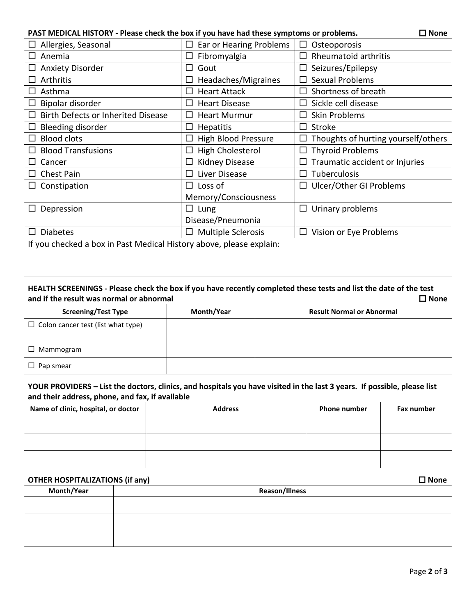## **PAST MEDICAL HISTORY - Please check the box if you have had these symptoms or problems. □ None**

| Allergies, Seasonal                                                 | Ear or Hearing Problems<br>□        | Osteoporosis                             |
|---------------------------------------------------------------------|-------------------------------------|------------------------------------------|
| Anemia<br>$\perp$                                                   | Fibromyalgia<br>П                   | Rheumatoid arthritis<br>П                |
| <b>Anxiety Disorder</b><br>ப                                        | Gout<br>$\mathsf{L}$                | Seizures/Epilepsy<br>ப                   |
| Arthritis<br>⊔                                                      | Headaches/Migraines                 | <b>Sexual Problems</b><br>П              |
| Asthma<br>ப                                                         | <b>Heart Attack</b><br>⊔            | Shortness of breath<br>$\Box$            |
| Bipolar disorder<br>$\Box$                                          | <b>Heart Disease</b>                | Sickle cell disease<br>П                 |
| Birth Defects or Inherited Disease<br>□                             | <b>Heart Murmur</b><br>П            | <b>Skin Problems</b><br>П                |
| Bleeding disorder<br>ப                                              | <b>Hepatitis</b><br>$\Box$          | $\Box$ Stroke                            |
| <b>Blood clots</b><br>$\Box$                                        | High Blood Pressure                 | Thoughts of hurting yourself/others<br>ப |
| <b>Blood Transfusions</b>                                           | <b>High Cholesterol</b><br>$\Box$   | <b>Thyroid Problems</b><br>$\Box$        |
| Cancer                                                              | <b>Kidney Disease</b>               | Traumatic accident or Injuries           |
| Chest Pain<br>$\mathsf{L}$                                          | Liver Disease<br>П                  | Tuberculosis<br>П                        |
| Constipation<br>ப                                                   | Loss of<br>$\Box$                   | □ Ulcer/Other GI Problems                |
|                                                                     | Memory/Consciousness                |                                          |
| Depression<br>ப                                                     | Lung<br>$\Box$                      | $\Box$ Urinary problems                  |
|                                                                     | Disease/Pneumonia                   |                                          |
| <b>Diabetes</b><br>$\mathsf{L}$                                     | <b>Multiple Sclerosis</b><br>$\Box$ | Vision or Eye Problems<br>$\Box$         |
| If you checked a box in Past Medical History above, please explain: |                                     |                                          |
|                                                                     |                                     |                                          |
|                                                                     |                                     |                                          |

## **HEALTH SCREENINGS - Please check the box if you have recently completed these tests and list the date of the test**  and if the result was normal or abnormal  $\Box$

| <b>Screening/Test Type</b>                | Month/Year | <b>Result Normal or Abnormal</b> |
|-------------------------------------------|------------|----------------------------------|
| $\Box$ Colon cancer test (list what type) |            |                                  |
| $\square$ Mammogram                       |            |                                  |
| $\Box$<br>Pap smear                       |            |                                  |

## **YOUR PROVIDERS – List the doctors, clinics, and hospitals you have visited in the last 3 years. If possible, please list and their address, phone, and fax, if available**

| Name of clinic, hospital, or doctor | <b>Address</b> | <b>Phone number</b> | Fax number |
|-------------------------------------|----------------|---------------------|------------|
|                                     |                |                     |            |
|                                     |                |                     |            |
|                                     |                |                     |            |

# **OTHER HOSPITALIZATIONS (if any) None**

| __         | $\sim$<br>$\sim$<br>,,, |
|------------|-------------------------|
| Month/Year | <b>Reason/Illness</b>   |
|            |                         |
|            |                         |
|            |                         |
|            |                         |
|            |                         |
|            |                         |